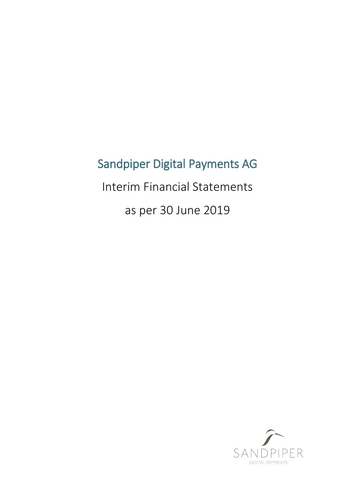# Sandpiper Digital Payments AG

Interim Financial Statements

as per 30 June 2019

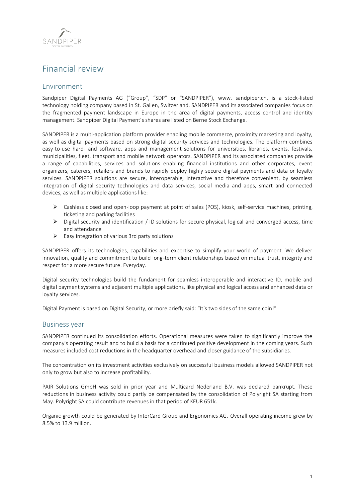

# Financial review

# Environment

Sandpiper Digital Payments AG ("Group", "SDP" or "SANDPIPER"), www. sandpiper.ch, is a stock-listed technology holding company based in St. Gallen, Switzerland. SANDPIPER and its associated companies focus on the fragmented payment landscape in Europe in the area of digital payments, access control and identity management. Sandpiper Digital Payment's shares are listed on Berne Stock Exchange.

SANDPIPER is a multi-application platform provider enabling mobile commerce, proximity marketing and loyalty, as well as digital payments based on strong digital security services and technologies. The platform combines easy-to-use hard- and software, apps and management solutions for universities, libraries, events, festivals, municipalities, fleet, transport and mobile network operators. SANDPIPER and its associated companies provide a range of capabilities, services and solutions enabling financial institutions and other corporates, event organizers, caterers, retailers and brands to rapidly deploy highly secure digital payments and data or loyalty services. SANDPIPER solutions are secure, interoperable, interactive and therefore convenient, by seamless integration of digital security technologies and data services, social media and apps, smart and connected devices, as well as multiple applications like:

- ➢ Cashless closed and open-loop payment at point of sales (POS), kiosk, self-service machines, printing, ticketing and parking facilities
- $\triangleright$  Digital security and identification / ID solutions for secure physical, logical and converged access, time and attendance
- $\triangleright$  Easy integration of various 3rd party solutions

SANDPIPER offers its technologies, capabilities and expertise to simplify your world of payment. We deliver innovation, quality and commitment to build long-term client relationships based on mutual trust, integrity and respect for a more secure future. Everyday.

Digital security technologies build the fundament for seamless interoperable and interactive ID, mobile and digital payment systems and adjacent multiple applications, like physical and logical access and enhanced data or loyalty services.

Digital Payment is based on Digital Security, or more briefly said: "It´s two sides of the same coin!"

# Business year

SANDPIPER continued its consolidation efforts. Operational measures were taken to significantly improve the company's operating result and to build a basis for a continued positive development in the coming years. Such measures included cost reductions in the headquarter overhead and closer guidance of the subsidiaries.

The concentration on its investment activities exclusively on successful business models allowed SANDPIPER not only to grow but also to increase profitability.

PAIR Solutions GmbH was sold in prior year and Multicard Nederland B.V. was declared bankrupt. These reductions in business activity could partly be compensated by the consolidation of Polyright SA starting from May. Polyright SA could contribute revenues in that period of KEUR 651k.

Organic growth could be generated by InterCard Group and Ergonomics AG. Overall operating income grew by 8.5% to 13.9 million.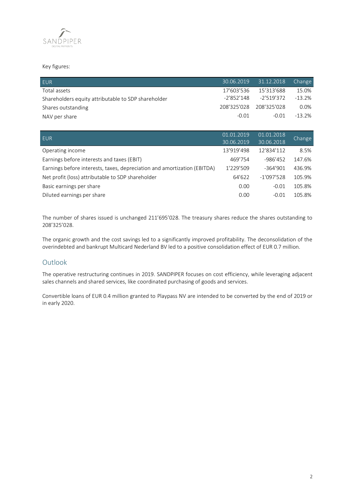

# Key figures:

| EUR.                                                | 30.06.2019 | 31.12.2018'             | Change    |
|-----------------------------------------------------|------------|-------------------------|-----------|
| Total assets                                        | 17'603'536 | 15'313'688              | 15.0%     |
| Shareholders equity attributable to SDP shareholder | -2'852'148 | -2'519'372              | $-13.2%$  |
| Shares outstanding                                  |            | 208'325'028 208'325'028 | $0.0\%$   |
| NAV per share                                       | $-0.01$    | $-0.01$                 | $-13.2\%$ |

| EUR.                                                                     | 01.01.2019 | 01.01.2018   | Change |
|--------------------------------------------------------------------------|------------|--------------|--------|
|                                                                          | 30.06.2019 | 30.06.2018   |        |
| Operating income                                                         | 13'919'498 | 12'834'112   | 8.5%   |
| Earnings before interests and taxes (EBIT)                               | 469'754    | $-986'452$   | 147.6% |
| Earnings before interests, taxes, depreciation and amortization (EBITDA) | 1'229'509  | $-364'901$   | 436.9% |
| Net profit (loss) attributable to SDP shareholder                        | 64'622     | $-1'097'528$ | 105.9% |
| Basic earnings per share                                                 | 0.00       | $-0.01$      | 105.8% |
| Diluted earnings per share                                               | 0.00       | $-0.01$      | 105.8% |

The number of shares issued is unchanged 211'695'028. The treasury shares reduce the shares outstanding to 208'325'028.

The organic growth and the cost savings led to a significantly improved profitability. The deconsolidation of the overindebted and bankrupt Multicard Nederland BV led to a positive consolidation effect of EUR 0.7 million.

# **Outlook**

The operative restructuring continues in 2019. SANDPIPER focuses on cost efficiency, while leveraging adjacent sales channels and shared services, like coordinated purchasing of goods and services.

Convertible loans of EUR 0.4 million granted to Playpass NV are intended to be converted by the end of 2019 or in early 2020.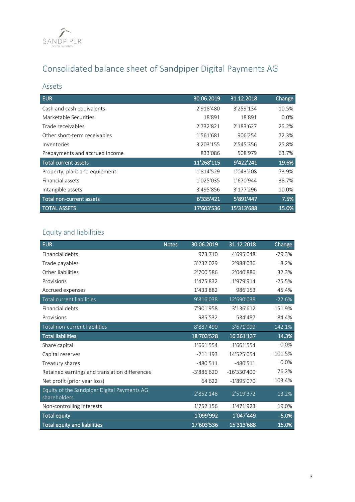

# Consolidated balance sheet of Sandpiper Digital Payments AG

# Assets

| <b>EUR</b>                     | 30.06.2019 | 31.12.2018 | Change   |
|--------------------------------|------------|------------|----------|
| Cash and cash equivalents      | 2'918'480  | 3'259'134  | $-10.5%$ |
| Marketable Securities          | 18'891     | 18'891     | 0.0%     |
| Trade receivables              | 2'732'821  | 2'183'627  | 25.2%    |
| Other short-term receivables   | 1'561'681  | 906'254    | 72.3%    |
| Inventories                    | 3'203'155  | 2'545'356  | 25.8%    |
| Prepayments and accrued income | 833'086    | 508'979    | 63.7%    |
| <b>Total current assets</b>    | 11'268'115 | 9'422'241  | 19.6%    |
| Property, plant and equipment  | 1'814'529  | 1'043'208  | 73.9%    |
| <b>Financial assets</b>        | 1'025'035  | 1'670'944  | $-38.7%$ |
| Intangible assets              | 3'495'856  | 3'177'296  | 10.0%    |
| Total non-current assets       | 6'335'421  | 5'891'447  | 7.5%     |
| <b>TOTAL ASSETS</b>            | 17'603'536 | 15'313'688 | 15.0%    |

# Equity and liabilities

| <b>EUR</b>                                                  | <b>Notes</b> | 30.06.2019   | 31.12.2018    | Change    |
|-------------------------------------------------------------|--------------|--------------|---------------|-----------|
| Financial debts                                             |              | 973'710      | 4'695'048     | $-79.3%$  |
| Trade payables                                              |              | 3'232'029    | 2'988'036     | 8.2%      |
| Other liabilities                                           |              | 2'700'586    | 2'040'886     | 32.3%     |
| Provisions                                                  |              | 1'475'832    | 1'979'914     | $-25.5%$  |
| Accrued expenses                                            |              | 1'433'882    | 986'153       | 45.4%     |
| Total current liabilities                                   |              | 9'816'038    | 12'690'038    | $-22.6%$  |
| Financial debts                                             |              | 7'901'958    | 3'136'612     | 151.9%    |
| Provisions                                                  |              | 985'532      | 534'487       | 84.4%     |
| Total non-current liabilities                               |              | 8'887'490    | 3'671'099     | 142.1%    |
| <b>Total liabilities</b>                                    |              | 18'703'528   | 16'361'137    | 14.3%     |
| Share capital                                               |              | 1'661'554    | 1'661'554     | 0.0%      |
| Capital reserves                                            |              | $-211'193$   | 14'525'054    | $-101.5%$ |
| Treasury shares                                             |              | $-480'511$   | $-480'511$    | 0.0%      |
| Retained earnings and translation differences               |              | $-3'886'620$ | $-16'330'400$ | 76.2%     |
| Net profit (prior year loss)                                |              | 64'622       | $-1'895'070$  | 103.4%    |
| Equity of the Sandpiper Digital Payments AG<br>shareholders |              | $-2'852'148$ | $-2'519'372$  | $-13.2%$  |
| Non-controlling interests                                   |              | 1'752'156    | 1'471'923     | 19.0%     |
| <b>Total equity</b>                                         |              | $-1'099'992$ | $-1'047'449$  | $-5.0%$   |
| <b>Total equity and liabilities</b>                         |              | 17'603'536   | 15'313'688    | 15.0%     |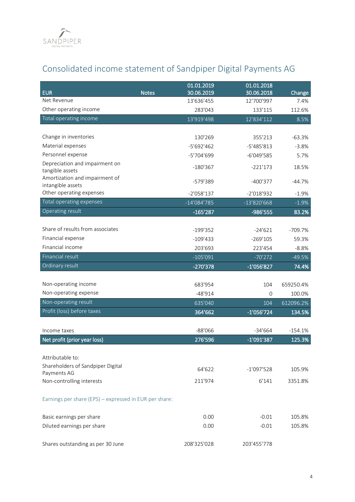

# Consolidated income statement of Sandpiper Digital Payments AG

| <b>EUR</b>                                             | 01.01.2019                               | 01.01.2018                |                |
|--------------------------------------------------------|------------------------------------------|---------------------------|----------------|
| Net Revenue                                            | <b>Notes</b><br>30.06.2019<br>13'636'455 | 30.06.2018<br>12'700'997  | Change<br>7.4% |
| Other operating income                                 | 283'043                                  | 133'115                   | 112.6%         |
| Total operating income                                 | 13'919'498                               | 12'834'112                | 8.5%           |
|                                                        |                                          |                           |                |
| Change in inventories                                  | 130'269                                  | 355'213                   | $-63.3%$       |
| Material expenses                                      | $-5'692'462$                             | $-5'485'813$              | $-3.8%$        |
| Personnel expense                                      | -5'704'699                               | $-6'049'585$              | 5.7%           |
| Depreciation and impairment on                         | $-180'367$                               | $-221'173$                | 18.5%          |
| tangible assets                                        |                                          |                           |                |
| Amortization and impairment of<br>intangible assets    | -579'389                                 | $-400'377$                | $-44.7%$       |
| Other operating expenses                               | $-2'058'137$                             | $-2'018'932$              | $-1.9%$        |
| Total operating expenses                               | $-14'084'785$                            | $-13'820'668$             | $-1.9%$        |
| Operating result                                       | $-165'287$                               | -986'555                  | 83.2%          |
|                                                        |                                          |                           |                |
| Share of results from associates                       | $-199'352$                               | $-24'621$                 | $-709.7%$      |
| Financial expense                                      | $-109'433$                               | $-269'105$                | 59.3%          |
| Financial income                                       | 203'693                                  | 223'454                   | $-8.8%$        |
| Financial result                                       | $-105'091$                               | $-70'272$                 | $-49.5%$       |
| Ordinary result                                        | -270'378                                 | $-1'056'827$              | 74.4%          |
|                                                        |                                          |                           |                |
| Non-operating income                                   | 683'954                                  | 104                       | 659250.4%      |
| Non-operating expense                                  | $-48'914$                                | 0                         | 100.0%         |
| Non-operating result                                   | 635'040                                  | 104                       | 612096.2%      |
| Profit (loss) before taxes                             | 364'662                                  | $-1'056'724$              | 134.5%         |
|                                                        |                                          |                           |                |
| Income taxes                                           | $-88'066$<br>276'596                     | $-34'664$<br>$-1'091'387$ | $-154.1%$      |
| Net profit (prior year loss)                           |                                          |                           | 125.3%         |
| Attributable to:                                       |                                          |                           |                |
| Shareholders of Sandpiper Digital                      |                                          |                           |                |
| Payments AG                                            | 64'622                                   | $-1'097'528$              | 105.9%         |
| Non-controlling interests                              | 211'974                                  | 6'141                     | 3351.8%        |
| Earnings per share (EPS) - expressed in EUR per share: |                                          |                           |                |
| Basic earnings per share                               | 0.00                                     | $-0.01$                   | 105.8%         |
| Diluted earnings per share                             | 0.00                                     | $-0.01$                   | 105.8%         |
|                                                        |                                          |                           |                |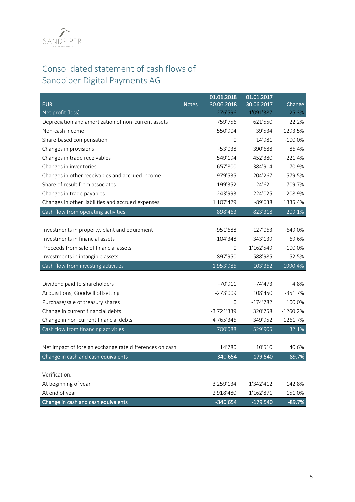

# Consolidated statement of cash flows of Sandpiper Digital Payments AG

| <b>EUR</b>                                              | <b>Notes</b> | 01.01.2018<br>30.06.2018 | 01.01.2017<br>30.06.2017 | Change     |
|---------------------------------------------------------|--------------|--------------------------|--------------------------|------------|
| Net profit (loss)                                       |              | 276'596                  | $-1'091'387$             | 125.3%     |
| Depreciation and amortization of non-current assets     |              | 759'756                  | 621'550                  | 22.2%      |
| Non-cash income                                         |              | 550'904                  | 39'534                   | 1293.5%    |
| Share-based compensation                                |              | 0                        | 14'981                   | $-100.0\%$ |
| Changes in provisions                                   |              | $-53'038$                | $-390'688$               | 86.4%      |
| Changes in trade receivables                            |              | $-549'194$               | 452'380                  | $-221.4%$  |
| Changes in inventories                                  |              | $-657'800$               | $-384'914$               | $-70.9%$   |
| Changes in other receivables and accrued income         |              | -979'535                 | 204'267                  | $-579.5%$  |
| Share of result from associates                         |              | 199'352                  | 24'621                   | 709.7%     |
| Changes in trade payables                               |              | 243'993                  | $-224'025$               | 208.9%     |
| Changes in other liabilities and accrued expenses       |              | 1'107'429                | $-89'638$                | 1335.4%    |
| Cash flow from operating activities                     |              | 898'463                  | $-823'318$               | 209.1%     |
|                                                         |              |                          |                          |            |
| Investments in property, plant and equipment            |              | $-951'688$               | $-127'063$               | $-649.0%$  |
| Investments in financial assets                         |              | $-104'348$               | $-343'139$               | 69.6%      |
| Proceeds from sale of financial assets                  |              | 0                        | 1'162'549                | $-100.0%$  |
| Investments in intangible assets                        |              | -897'950                 | -588'985                 | $-52.5%$   |
| Cash flow from investing activities                     |              | $-1'953'986$             | 103'362                  | $-1990.4%$ |
|                                                         |              |                          |                          |            |
| Dividend paid to shareholders                           |              | $-70'911$                | $-74'473$                | 4.8%       |
| Acquisitions; Goodwill offsetting                       |              | $-273'009$               | 108'450                  | $-351.7%$  |
| Purchase/sale of treasury shares                        |              | $\overline{0}$           | $-174'782$               | 100.0%     |
| Change in current financial debts                       |              | -3'721'339               | 320'758                  | $-1260.2%$ |
| Change in non-current financial debts                   |              | 4'765'346                | 349'952                  | 1261.7%    |
| Cash flow from financing activities                     |              | 700'088                  | 529'905                  | 32.1%      |
|                                                         |              |                          |                          |            |
| Net impact of foreign exchange rate differences on cash |              | 14'780                   | 10'510                   | 40.6%      |
| Change in cash and cash equivalents                     |              | -340'654                 | -179'540                 | $-89.7%$   |
|                                                         |              |                          |                          |            |
| Verification:                                           |              |                          |                          |            |
| At beginning of year                                    |              | 3'259'134                | 1'342'412                | 142.8%     |
| At end of year                                          |              | 2'918'480                | 1'162'871                | 151.0%     |
| Change in cash and cash equivalents                     |              | $-340'654$               | -179'540                 | $-89.7%$   |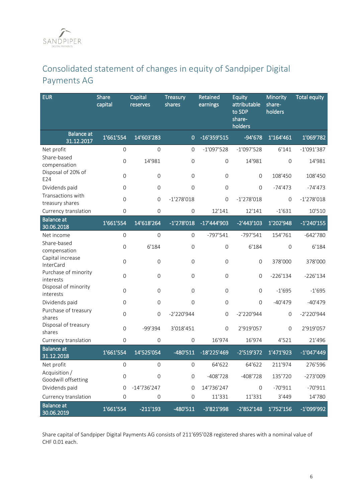# Consolidated statement of changes in equity of Sandpiper Digital Payments AG

| <b>EUR</b>                                        | Share<br>capital    | Capital<br>reserves | Treasury<br>shares  | Retained<br>earnings | Equity<br>attributable<br>to SDP<br>share-<br>holders | Minority<br>share-<br>holders | <b>Total equity</b> |
|---------------------------------------------------|---------------------|---------------------|---------------------|----------------------|-------------------------------------------------------|-------------------------------|---------------------|
| <b>Balance</b> at<br>31.12.2017                   | 1'661'554           | 14'603'283          | $\mathbf 0$         | $-16'359'515$        | $-94'678$                                             | 1'164'461                     | 1'069'782           |
| Net profit                                        | $\overline{0}$      | $\mathbf 0$         | $\mathbf 0$         | $-1'097'528$         | $-1'097'528$                                          | 6'141                         | $-1'091'387$        |
| Share-based<br>compensation<br>Disposal of 20% of | $\mathbf 0$         | 14'981              | $\mathsf{O}\xspace$ | 0                    | 14'981                                                | $\mathbf 0$                   | 14'981              |
| E24                                               | $\Omega$            | $\Omega$            | $\mathbf{O}$        | $\mathbf 0$          | $\mathbf{O}$                                          | 108'450                       | 108'450             |
| Dividends paid                                    | $\overline{0}$      | $\mathbf 0$         | $\overline{0}$      | $\mathbf 0$          | $\Omega$                                              | $-74'473$                     | $-74'473$           |
| Transactions with<br>treasury shares              | $\mathbf 0$         | $\mathsf{O}\xspace$ | $-1'278'018$        | 0                    | $-1'278'018$                                          | $\mathbf{0}$                  | $-1'278'018$        |
| Currency translation                              | $\mathsf{O}\xspace$ | $\mathbf{O}$        | 0                   | 12'141               | 12'141                                                | $-1'631$                      | 10'510              |
| <b>Balance</b> at<br>30.06.2018                   | 1'661'554           | 14'618'264          | $-1'278'018$        | $-17'444'903$        | $-2'443'103$                                          | 1'202'948                     | $-1'240'155$        |
| Net income                                        | $\mathbf 0$         | $\mathbf 0$         | $\mathsf{O}\xspace$ | $-797'541$           | $-797'541$                                            | 154'761                       | $-642'780$          |
| Share-based<br>compensation                       | $\overline{0}$      | 6'184               | $\overline{0}$      | $\overline{0}$       | 6'184                                                 | $\overline{0}$                | 6'184               |
| Capital increase<br>InterCard                     | $\mathbf 0$         | $\mathbf 0$         | $\mathbf{O}$        | 0                    | $\mathbf{O}$                                          | 378'000                       | 378'000             |
| Purchase of minority<br>interests                 | $\mathbf 0$         | $\Omega$            | $\mathsf{O}\xspace$ | 0                    | $\mathbf{O}$                                          | $-226'134$                    | $-226'134$          |
| Disposal of minority<br>interests                 | $\mathbf 0$         | $\Omega$            | $\mathsf{O}\xspace$ | $\mathbf 0$          | $\mathsf{O}\xspace$                                   | $-1'695$                      | $-1'695$            |
| Dividends paid                                    | $\overline{0}$      | $\mathbf 0$         | 0                   | 0                    | $\Omega$                                              | $-40'479$                     | $-40'479$           |
| Purchase of treasury<br>shares                    | $\mathbf 0$         | $\mathbf 0$         | $-2'220'944$        | 0                    | $-2'220'944$                                          | $\mathbf{0}$                  | $-2'220'944$        |
| Disposal of treasury<br>shares                    | $\mathbf 0$         | -99'394             | 3'018'451           | $\mathbf 0$          | 2'919'057                                             | $\mathbf{0}$                  | 2'919'057           |
| Currency translation                              | $\mathsf{O}\xspace$ | $\mathbf 0$         | $\mathsf{O}\xspace$ | 16'974               | 16'974                                                | 4'521                         | 21'496              |
| <b>Balance at</b><br>31.12.2018                   | 1'661'554           | 14'525'054          | $-480'511$          | -18'225'469          | -2'519'372                                            | 1'471'923                     | $-1'047'449$        |
| Net profit                                        | 0                   | $\mathbf 0$         | 0                   | 64'622               | 64'622                                                | 211'974                       | 276'596             |
| Acquisition /<br>Goodwill offsetting              | $\mathsf{O}\xspace$ | $\mathbf 0$         | $\mathsf{O}\xspace$ | $-408'728$           | $-408'728$                                            | 135'720                       | $-273'009$          |
| Dividends paid                                    | $\mathsf{O}\xspace$ | $-14'736'247$       | $\mathbf{O}$        | 14'736'247           | $\mathsf{O}\xspace$                                   | $-70'911$                     | $-70'911$           |
| Currency translation                              | $\mathsf{O}\xspace$ | $\mathsf{O}\xspace$ | $\mathsf{O}\xspace$ | 11'331               | 11'331                                                | 3'449                         | 14'780              |
| <b>Balance</b> at<br>30.06.2019                   | 1'661'554           | $-211'193$          | $-480'511$          | -3'821'998           | $-2'852'148$                                          | 1'752'156                     | -1'099'992          |

Share capital of Sandpiper Digital Payments AG consists of 211'695'028 registered shares with a nominal value of CHF 0.01 each.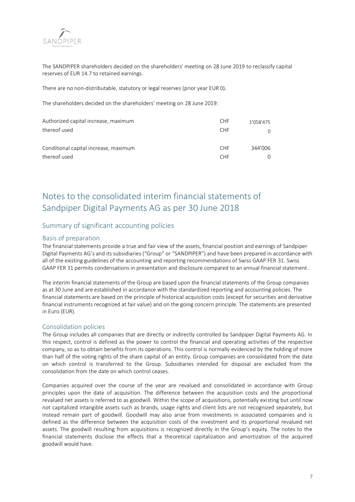

The SANDPIPER shareholders decided on the shareholders' meeting on 28 June 2019 to reclassify capital reserves of EUR 14.7 to retained earnings.

There are no non-distributable, statutory or legal reserves (prior year EUR 0).

The shareholders decided on the shareholders' meeting on 28 June 2019:

| Authorized capital increase, maximum  | <b>CHF</b>      | 1'058'475 |
|---------------------------------------|-----------------|-----------|
| thereof used                          | CHE <sup></sup> |           |
| Conditional capital increase, maximum | <b>CHF</b>      | 344'006   |
| thereof used                          | <b>CHF</b>      |           |

# Notes to the consolidated interim financial statements of Sandpiper Digital Payments AG as per 30 June 2018

# Summary of significant accounting policies

# Basis of preparation

The financial statements provide a true and fair view of the assets, financial position and earnings of Sandpiper Digital Payments AG's and its subsidiaries ("Group" or "SANDPIPER") and have been prepared in accordance with all of the existing guidelines of the accounting and reporting recommendations of Swiss GAAP FER 31. Swiss GAAP FER 31 permits condensations in presentation and disclosure compared to an annual financial statement.

The interim financial statements of the Group are based upon the financial statements of the Group companies as at 30 June and are established in accordance with the standardized reporting and accounting policies. The financial statements are based on the principle of historical acquisition costs (except for securities and derivative financial instruments recognized at fair value) and on the going concern principle. The statements are presented in Euro (EUR).

## Consolidation policies

The Group includes all companies that are directly or indirectly controlled by Sandpiper Digital Payments AG. In this respect, control is defined as the power to control the financial and operating activities of the respective company, so as to obtain benefits from its operations. This control is normally evidenced by the holding of more than half of the voting rights of the share capital of an entity. Group companies are consolidated from the date on which control is transferred to the Group. Subsidiaries intended for disposal are excluded from the consolidation from the date on which control ceases.

Companies acquired over the course of the year are revalued and consolidated in accordance with Group principles upon the date of acquisition. The difference between the acquisition costs and the proportional revalued net assets is referred to as goodwill. Within the scope of acquisitions, potentially existing but until now not capitalized intangible assets such as brands, usage rights and client lists are not recognized separately, but instead remain part of goodwill. Goodwill may also arise from investments in associated companies and is defined as the difference between the acquisition costs of the investment and its proportional revalued net assets. The goodwill resulting from acquisitions is recognized directly in the Group's equity. The notes to the financial statements disclose the effects that a theoretical capitalization and amortization of the acquired goodwill would have.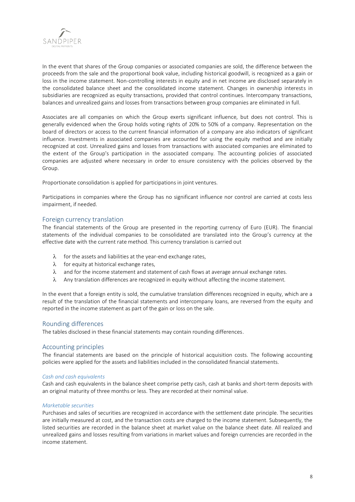

In the event that shares of the Group companies or associated companies are sold, the difference between the proceeds from the sale and the proportional book value, including historical goodwill, is recognized as a gain or loss in the income statement. Non-controlling interests in equity and in net income are disclosed separately in the consolidated balance sheet and the consolidated income statement. Changes in ownership interests in subsidiaries are recognized as equity transactions, provided that control continues. Intercompany transactions, balances and unrealized gains and losses from transactions between group companies are eliminated in full.

Associates are all companies on which the Group exerts significant influence, but does not control. This is generally evidenced when the Group holds voting rights of 20% to 50% of a company. Representation on the board of directors or access to the current financial information of a company are also indicators of significant influence. Investments in associated companies are accounted for using the equity method and are initially recognized at cost. Unrealized gains and losses from transactions with associated companies are eliminated to the extent of the Group's participation in the associated company. The accounting policies of associated companies are adjusted where necessary in order to ensure consistency with the policies observed by the Group.

Proportionate consolidation is applied for participations in joint ventures.

Participations in companies where the Group has no significant influence nor control are carried at costs less impairment, if needed.

## Foreign currency translation

The financial statements of the Group are presented in the reporting currency of Euro (EUR). The financial statements of the individual companies to be consolidated are translated into the Group's currency at the effective date with the current rate method. This currency translation is carried out

- $\lambda$  for the assets and liabilities at the year-end exchange rates,
- $\lambda$  for equity at historical exchange rates,
- $\lambda$  and for the income statement and statement of cash flows at average annual exchange rates.
- $\lambda$  Any translation differences are recognized in equity without affecting the income statement.

In the event that a foreign entity is sold, the cumulative translation differences recognized in equity, which are a result of the translation of the financial statements and intercompany loans, are reversed from the equity and reported in the income statement as part of the gain or loss on the sale.

## Rounding differences

The tables disclosed in these financial statements may contain rounding differences.

## Accounting principles

The financial statements are based on the principle of historical acquisition costs. The following accounting policies were applied for the assets and liabilities included in the consolidated financial statements.

#### *Cash and cash equivalents*

Cash and cash equivalents in the balance sheet comprise petty cash, cash at banks and short-term deposits with an original maturity of three months or less. They are recorded at their nominal value.

#### *Marketable securities*

Purchases and sales of securities are recognized in accordance with the settlement date principle. The securities are initially measured at cost, and the transaction costs are charged to the income statement. Subsequently, the listed securities are recorded in the balance sheet at market value on the balance sheet date. All realized and unrealized gains and losses resulting from variations in market values and foreign currencies are recorded in the income statement.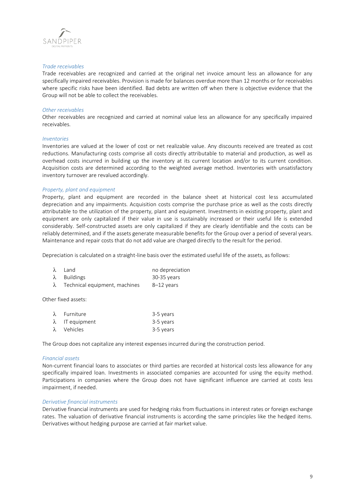

#### *Trade receivables*

Trade receivables are recognized and carried at the original net invoice amount less an allowance for any specifically impaired receivables. Provision is made for balances overdue more than 12 months or for receivables where specific risks have been identified. Bad debts are written off when there is objective evidence that the Group will not be able to collect the receivables.

#### *Other receivables*

Other receivables are recognized and carried at nominal value less an allowance for any specifically impaired receivables.

#### *Inventories*

Inventories are valued at the lower of cost or net realizable value. Any discounts received are treated as cost reductions. Manufacturing costs comprise all costs directly attributable to material and production, as well as overhead costs incurred in building up the inventory at its current location and/or to its current condition. Acquisition costs are determined according to the weighted average method. Inventories with unsatisfactory inventory turnover are revalued accordingly.

#### *Property, plant and equipment*

Property, plant and equipment are recorded in the balance sheet at historical cost less accumulated depreciation and any impairments. Acquisition costs comprise the purchase price as well as the costs directly attributable to the utilization of the property, plant and equipment. Investments in existing property, plant and equipment are only capitalized if their value in use is sustainably increased or their useful life is extended considerably. Self-constructed assets are only capitalized if they are clearly identifiable and the costs can be reliably determined, and if the assets generate measurable benefits for the Group over a period of several years. Maintenance and repair costs that do not add value are charged directly to the result for the period.

Depreciation is calculated on a straight-line basis over the estimated useful life of the assets, as follows:

| $\lambda$ Land                          | no depreciation |
|-----------------------------------------|-----------------|
| $\lambda$ Buildings                     | 30-35 years     |
| $\lambda$ Technical equipment, machines | 8–12 years      |

Other fixed assets:

| $\lambda$ Furniture    | 3-5 years |
|------------------------|-----------|
| $\lambda$ IT equipment | 3-5 years |
| λ Vehicles             | 3-5 years |

The Group does not capitalize any interest expenses incurred during the construction period.

#### *Financial assets*

Non-current financial loans to associates or third parties are recorded at historical costs less allowance for any specifically impaired loan. Investments in associated companies are accounted for using the equity method. Participations in companies where the Group does not have significant influence are carried at costs less impairment, if needed.

#### *Derivative financial instruments*

Derivative financial instruments are used for hedging risks from fluctuations in interest rates or foreign exchange rates. The valuation of derivative financial instruments is according the same principles like the hedged items. Derivatives without hedging purpose are carried at fair market value.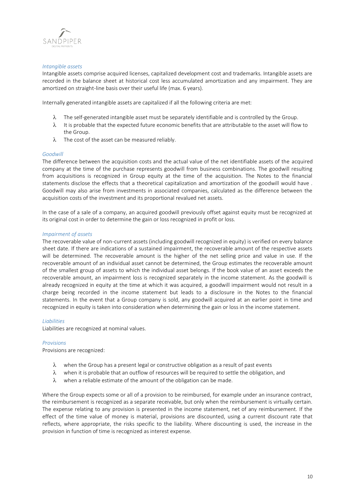

## *Intangible assets*

Intangible assets comprise acquired licenses, capitalized development cost and trademarks. Intangible assets are recorded in the balance sheet at historical cost less accumulated amortization and any impairment. They are amortized on straight-line basis over their useful life (max. 6 years).

Internally generated intangible assets are capitalized if all the following criteria are met:

- $\lambda$  The self-generated intangible asset must be separately identifiable and is controlled by the Group.
- $\lambda$  It is probable that the expected future economic benefits that are attributable to the asset will flow to the Group.
- $\lambda$  The cost of the asset can be measured reliably.

## *Goodwill*

The difference between the acquisition costs and the actual value of the net identifiable assets of the acquired company at the time of the purchase represents goodwill from business combinations. The goodwill resulting from acquisitions is recognized in Group equity at the time of the acquisition. The Notes to the financial statements disclose the effects that a theoretical capitalization and amortization of the goodwill would have . Goodwill may also arise from investments in associated companies, calculated as the difference between the acquisition costs of the investment and its proportional revalued net assets.

In the case of a sale of a company, an acquired goodwill previously offset against equity must be recognized at its original cost in order to determine the gain or loss recognized in profit or loss.

#### *Impairment of assets*

The recoverable value of non-current assets (including goodwill recognized in equity) is verified on every balance sheet date. If there are indications of a sustained impairment, the recoverable amount of the respective assets will be determined. The recoverable amount is the higher of the net selling price and value in use. If the recoverable amount of an individual asset cannot be determined, the Group estimates the recoverable amount of the smallest group of assets to which the individual asset belongs. If the book value of an asset exceeds the recoverable amount, an impairment loss is recognized separately in the income statement. As the goodwill is already recognized in equity at the time at which it was acquired, a goodwill impairment would not result in a charge being recorded in the income statement but leads to a disclosure in the Notes to the financial statements. In the event that a Group company is sold, any goodwill acquired at an earlier point in time and recognized in equity is taken into consideration when determining the gain or loss in the income statement.

## *Liabilities*

Liabilities are recognized at nominal values.

## *Provisions*

Provisions are recognized:

- $\lambda$  when the Group has a present legal or constructive obligation as a result of past events
- $\lambda$  when it is probable that an outflow of resources will be required to settle the obligation, and
- $\lambda$  when a reliable estimate of the amount of the obligation can be made.

Where the Group expects some or all of a provision to be reimbursed, for example under an insurance contract, the reimbursement is recognized as a separate receivable, but only when the reimbursement is virtually certain. The expense relating to any provision is presented in the income statement, net of any reimbursement. If the effect of the time value of money is material, provisions are discounted, using a current discount rate that reflects, where appropriate, the risks specific to the liability. Where discounting is used, the increase in the provision in function of time is recognized as interest expense.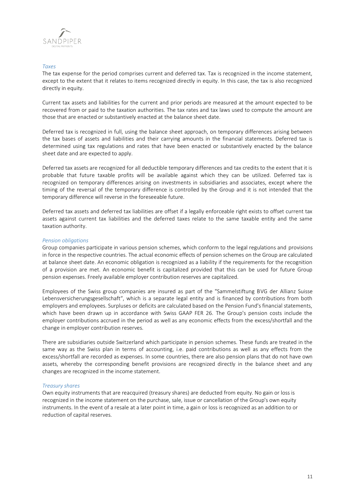

## *Taxes*

The tax expense for the period comprises current and deferred tax. Tax is recognized in the income statement, except to the extent that it relates to items recognized directly in equity. In this case, the tax is also recognized directly in equity.

Current tax assets and liabilities for the current and prior periods are measured at the amount expected to be recovered from or paid to the taxation authorities. The tax rates and tax laws used to compute the amount are those that are enacted or substantively enacted at the balance sheet date.

Deferred tax is recognized in full, using the balance sheet approach, on temporary differences arising between the tax bases of assets and liabilities and their carrying amounts in the financial statements. Deferred tax is determined using tax regulations and rates that have been enacted or substantively enacted by the balance sheet date and are expected to apply.

Deferred tax assets are recognized for all deductible temporary differences and tax credits to the extent that it is probable that future taxable profits will be available against which they can be utilized. Deferred tax is recognized on temporary differences arising on investments in subsidiaries and associates, except where the timing of the reversal of the temporary difference is controlled by the Group and it is not intended that the temporary difference will reverse in the foreseeable future.

Deferred tax assets and deferred tax liabilities are offset if a legally enforceable right exists to offset current tax assets against current tax liabilities and the deferred taxes relate to the same taxable entity and the same taxation authority.

## *Pension obligations*

Group companies participate in various pension schemes, which conform to the legal regulations and provisions in force in the respective countries. The actual economic effects of pension schemes on the Group are calculated at balance sheet date. An economic obligation is recognized as a liability if the requirements for the recognition of a provision are met. An economic benefit is capitalized provided that this can be used for future Group pension expenses. Freely available employer contribution reserves are capitalized.

Employees of the Swiss group companies are insured as part of the "Sammelstiftung BVG der Allianz Suisse Lebensversicherungsgesellschaft", which is a separate legal entity and is financed by contributions from both employers and employees. Surpluses or deficits are calculated based on the Pension Fund's financial statements, which have been drawn up in accordance with Swiss GAAP FER 26. The Group's pension costs include the employer contributions accrued in the period as well as any economic effects from the excess/shortfall and the change in employer contribution reserves.

There are subsidiaries outside Switzerland which participate in pension schemes. These funds are treated in the same way as the Swiss plan in terms of accounting, i.e. paid contributions as well as any effects from the excess/shortfall are recorded as expenses. In some countries, there are also pension plans that do not have own assets, whereby the corresponding benefit provisions are recognized directly in the balance sheet and any changes are recognized in the income statement.

## *Treasury shares*

Own equity instruments that are reacquired (treasury shares) are deducted from equity. No gain or loss is recognized in the income statement on the purchase, sale, issue or cancellation of the Group's own equity instruments. In the event of a resale at a later point in time, a gain or loss is recognized as an addition to or reduction of capital reserves.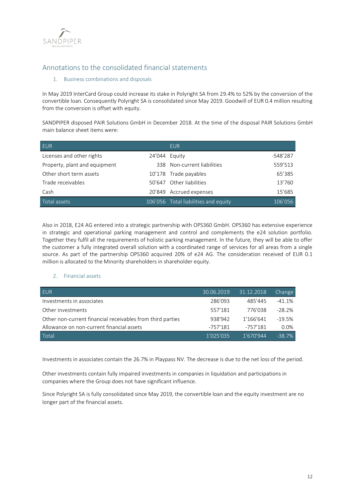

# Annotations to the consolidated financial statements

# 1. Business combinations and disposals

In May 2019 InterCard Group could increase its stake in Polyright SA from 29.4% to 52% by the conversion of the convertible loan. Consequently Polyright SA is consolidated since May 2019. Goodwill of EUR 0.4 million resulting from the conversion is offset with equity.

SANDPIPER disposed PAIR Solutions GmbH in December 2018. At the time of the disposal PAIR Solutions GmbH main balance sheet items were:

| <b>EUR</b>                    |               | EUR.                                 |            |
|-------------------------------|---------------|--------------------------------------|------------|
| Licenses and other rights     | 24'044 Equity |                                      | $-548'287$ |
| Property, plant and equipment |               | 338 Non-current liabilities          | 559'513    |
| Other short term assets       |               | 10'178 Trade payables                | 65'385     |
| Trade receivables             |               | 50'647 Other liabilities             | 13'760     |
| Cash                          |               | 20'849 Accrued expenses              | 15'685     |
| Total assets                  |               | 106'056 Total liabilities and equity | 106'056    |

Also in 2018, E24 AG entered into a strategic partnership with OPS360 GmbH. OPS360 has extensive experience in strategic and operational parking management and control and complements the e24 solution portfolio. Together they fulfil all the requirements of holistic parking management. In the future, they will be able to offer the customer a fully integrated overall solution with a coordinated range of services for all areas from a single source. As part of the partnership OPS360 acquired 20% of e24 AG. The consideration received of EUR 0.1 million is allocated to the Minority shareholders in shareholder equity.

## 2. Financial assets

| EUR                                                        | 30.06.2019 | 31.12.2018 | Change   |
|------------------------------------------------------------|------------|------------|----------|
| Investments in associates                                  | 286'093    | 485'445    | $-41.1%$ |
| Other investments                                          | 557'181    | 776'038    | $-28.2%$ |
| Other non-current financial receivables from third parties | 938'942    | 1'166'641  | $-19.5%$ |
| Allowance on non-current financial assets                  | $-757'181$ | -757'181   | 0.0%     |
| Total                                                      | 1'025'035  | 1'670'944  | $-38.7%$ |

Investments in associates contain the 26.7% in Playpass NV. The decrease is due to the net loss of the period.

Other investments contain fully impaired investments in companies in liquidation and participations in companies where the Group does not have significant influence.

Since Polyright SA is fully consolidated since May 2019, the convertible loan and the equity investment are no longer part of the financial assets.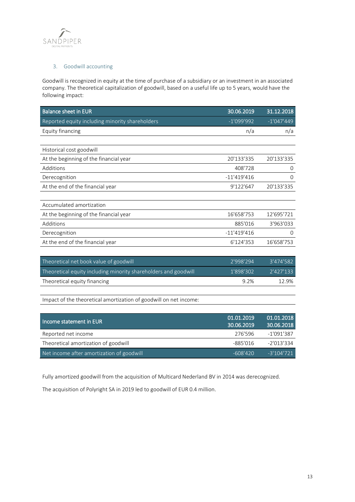

# 3. Goodwill accounting

Goodwill is recognized in equity at the time of purchase of a subsidiary or an investment in an associated company. The theoretical capitalization of goodwill, based on a useful life up to 5 years, would have the following impact:

| <b>Balance sheet in EUR</b>                                     | 30.06.2019    | 31.12.2018   |
|-----------------------------------------------------------------|---------------|--------------|
| Reported equity including minority shareholders                 | $-1'099'992$  | $-1'047'449$ |
| Equity financing                                                | n/a           | n/a          |
|                                                                 |               |              |
| Historical cost goodwill                                        |               |              |
| At the beginning of the financial year                          | 20'133'335    | 20'133'335   |
| Additions                                                       | 408'728       | 0            |
| Derecognition                                                   | $-11'419'416$ | $\Omega$     |
| At the end of the financial year                                | 9'122'647     | 20'133'335   |
|                                                                 |               |              |
| Accumulated amortization                                        |               |              |
| At the beginning of the financial year                          | 16'658'753    | 12'695'721   |
| Additions                                                       | 885'016       | 3'963'033    |
| Derecognition                                                   | $-11'419'416$ | $\Omega$     |
| At the end of the financial year                                | 6'124'353     | 16'658'753   |
|                                                                 |               |              |
| Theoretical net book value of goodwill                          | 2'998'294     | 3'474'582    |
| Theoretical equity including minority shareholders and goodwill | 1'898'302     | 2'427'133    |
| Theoretical equity financing                                    | 9.2%          | 12.9%        |
|                                                                 |               |              |

Impact of the theoretical amortization of goodwill on net income:

| Income statement in EUR                   | 01.01.2019<br>30.06.2019 | 01.01.2018<br>30.06.2018 |
|-------------------------------------------|--------------------------|--------------------------|
| Reported net income                       | 276'596                  | $-1'091'387$             |
| Theoretical amortization of goodwill      | -885'016                 | $-2'013'334$             |
| Net income after amortization of goodwill | $-608'420$               | $-3'104'721$             |

Fully amortized goodwill from the acquisition of Multicard Nederland BV in 2014 was derecognized.

The acquisition of Polyright SA in 2019 led to goodwill of EUR 0.4 million.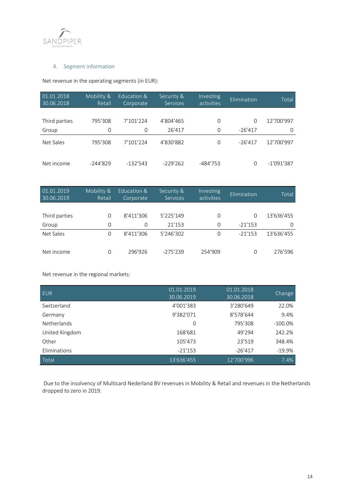

# 4. Segment information

Net revenue in the operating segments (in EUR):

| 01.01.2018<br>30.06.2018 | Mobility &<br>Retail | Education &<br>Corporate | Security &<br><b>Services</b> | Investing<br>activities | Elimination | Total        |
|--------------------------|----------------------|--------------------------|-------------------------------|-------------------------|-------------|--------------|
|                          |                      |                          |                               |                         |             |              |
| Third parties            | 795'308              | 7'101'224                | 4'804'465                     | 0                       | $\Omega$    | 12'700'997   |
| Group                    | 0                    | $\Omega$                 | 26'417                        | $\mathbf 0$             | $-26'417$   | $\Omega$     |
| Net Sales                | 795'308              | 7'101'224                | 4'830'882                     | $\Omega$                | $-26'417$   | 12'700'997   |
| Net income               | $-244'829$           | $-132'543$               | $-229'262$                    | -484'753                | O           | $-1'091'387$ |

| 01.01.2019<br>30.06.2019 | Mobility &<br>Retail | Education &<br>Corporate | Security &<br><b>Services</b> | Investing<br>activities | Elimination | Total      |
|--------------------------|----------------------|--------------------------|-------------------------------|-------------------------|-------------|------------|
|                          |                      |                          |                               |                         |             |            |
| Third parties            | $\Omega$             | 8'411'306                | 5'225'149                     | $\Omega$                | $\Omega$    | 13'636'455 |
| Group                    | 0                    | $\Omega$                 | 21'153                        | 0                       | $-21'153$   | 0          |
| Net Sales                | 0                    | 8'411'306                | 5'246'302                     | 0                       | $-21'153$   | 13'636'455 |
| Net income               | 0                    | 296'926                  | $-275'239$                    | 254'909                 | O           | 276'596    |

Net revenue in the regional markets:

| <b>EUR</b>         | 01.01.2019<br>30.06.2019 | 01.01.2018<br>30.06.2018 | Change     |
|--------------------|--------------------------|--------------------------|------------|
| Switzerland        | 4'001'383                | 3'280'649                | 22.0%      |
| Germany            | 9'382'071                | 8'578'644                | 9.4%       |
| <b>Netherlands</b> | $\Omega$                 | 795'308                  | $-100.0\%$ |
| United Kingdom     | 168'681                  | 49'294                   | 242.2%     |
| Other              | 105'473                  | 23'519                   | 348.4%     |
| Eliminations       | $-21'153$                | $-26'417$                | $-19.9%$   |
| Total              | 13'636'455               | 12'700'996               | 7.4%       |

Due to the insolvency of Multicard Nederland BV revenues in Mobility & Retail and revenues in the Netherlands dropped to zero in 2019.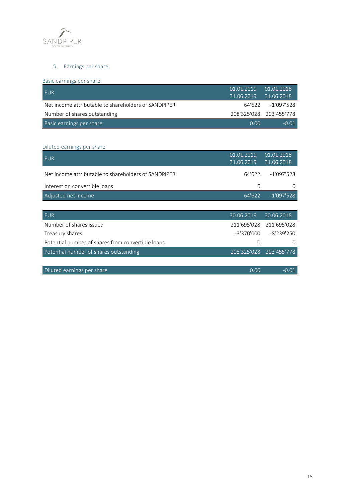

# 5. Earnings per share

Basic earnings per share

| <b>EUR</b>                                           | 01.01.2019 01.01.2018<br>31.06.2019 31.06.2018 |                         |
|------------------------------------------------------|------------------------------------------------|-------------------------|
| Net income attributable to shareholders of SANDPIPER |                                                | 64'622 - 1'097'528      |
| Number of shares outstanding                         |                                                | 208'325'028 203'455'778 |
| Basic earnings per share                             | n nn                                           | $-0.01$                 |

# Diluted earnings per share

| <b>EUR</b>                                           | 01.01.2019<br>31.06.2019 | 01.01.2018<br>31.06.2018 |
|------------------------------------------------------|--------------------------|--------------------------|
| Net income attributable to shareholders of SANDPIPER | 64'622                   | $-1'097'528$             |
| Interest on convertible loans                        | $\Omega$                 | 0                        |
| Adjusted net income                                  | 64'622                   | $-1'097'528$             |
|                                                      |                          |                          |
| <b>EUR</b>                                           | 30.06.2019               | 30.06.2018               |
| Number of shares issued                              | 211'695'028              | 211'695'028              |
| Treasury shares                                      | -3'370'000               | $-8'239'250$             |
| Potential number of shares from convertible loans    | $\Omega$                 | $\Omega$                 |
| Potential number of shares outstanding               | 208'325'028              | 203'455'778              |
|                                                      |                          |                          |
| Diluted earnings per share                           | 0.00                     | $-0.01$                  |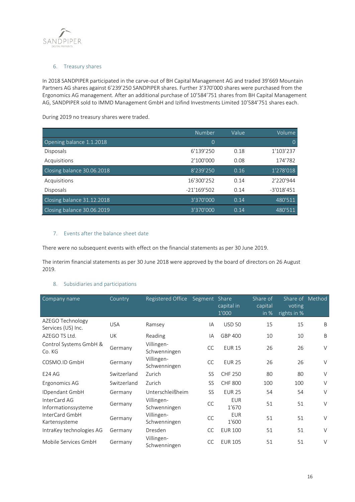

# 6. Treasury shares

In 2018 SANDPIPER participated in the carve-out of BH Capital Management AG and traded 39'669 Mountain Partners AG shares against 6'239'250 SANDPIPER shares. Further 3'370'000 shares were purchased from the Ergonomics AG management. After an additional purchase of 10'584'751 shares from BH Capital Management AG, SANDPIPER sold to IMMD Management GmbH and Izifind Investments Limited 10'584'751 shares each.

During 2019 no treasury shares were traded.

|                            | <b>Number</b>  | Value | Volume       |
|----------------------------|----------------|-------|--------------|
| Opening balance 1.1.2018   | $\overline{0}$ |       | $\Omega$     |
| <b>Disposals</b>           | 6'139'250      | 0.18  | 1'103'237    |
| Acquisitions               | 2'100'000      | 0.08  | 174'782      |
| Closing balance 30.06.2018 | 8'239'250      | 0.16  | 1'278'018    |
| Acquisitions               | 16'300'252     | 0.14  | 2'220'944    |
| <b>Disposals</b>           | $-21'169'502$  | 0.14  | $-3'018'451$ |
| Closing balance 31.12.2018 | 3'370'000      | 0.14  | 480'511      |
| Closing balance 30.06.2019 | 3'370'000      | 0.14  | 480'511      |

# 7. Events after the balance sheet date

There were no subsequent events with effect on the financial statements as per 30 June 2019.

The interim financial statements as per 30 June 2018 were approved by the board of directors on 26 August 2019.

## 8. Subsidiaries and participations

| Company name                           | Country     | Registered Office          | Segment Share | capital in<br>1'000 | Share of<br>capital<br>in $%$ | Share of Method<br>voting<br>rights in % |        |
|----------------------------------------|-------------|----------------------------|---------------|---------------------|-------------------------------|------------------------------------------|--------|
| AZEGO Technology<br>Services (US) Inc. | <b>USA</b>  | Ramsey                     | IA            | <b>USD 50</b>       | 15                            | 15                                       | B      |
| AZEGO TS Ltd.                          | <b>UK</b>   | Reading                    | IA            | GBP 400             | 10                            | 10                                       | B      |
| Control Systems GmbH &<br>Co. KG       | Germany     | Villingen-<br>Schwenningen | CC            | <b>EUR 15</b>       | 26                            | 26                                       | $\vee$ |
| COSMO.ID GmbH                          | Germany     | Villingen-<br>Schwenningen | <b>CC</b>     | <b>EUR 25</b>       | 26                            | 26                                       | $\vee$ |
| <b>E24 AG</b>                          | Switzerland | Zurich                     | <b>SS</b>     | <b>CHF 250</b>      | 80                            | 80                                       | $\vee$ |
| Ergonomics AG                          | Switzerland | Zurich                     | <b>SS</b>     | <b>CHF 800</b>      | 100                           | 100                                      | $\vee$ |
| IDpendant GmbH                         | Germany     | Unterschleißheim           | <b>SS</b>     | <b>EUR 25</b>       | 54                            | 54                                       | $\vee$ |
| InterCard AG<br>Informationssysteme    | Germany     | Villingen-<br>Schwenningen | CC            | <b>EUR</b><br>1'670 | 51                            | 51                                       | $\vee$ |
| InterCard GmbH<br>Kartensysteme        | Germany     | Villingen-<br>Schwenningen | <b>CC</b>     | <b>EUR</b><br>1'600 | 51                            | 51                                       | $\vee$ |
| IntraKey technologies AG               | Germany     | Dresden                    | <b>CC</b>     | <b>EUR 100</b>      | 51                            | 51                                       | $\vee$ |
| Mobile Services GmbH                   | Germany     | Villingen-<br>Schwenningen | <b>CC</b>     | <b>EUR 105</b>      | 51                            | 51                                       | $\vee$ |